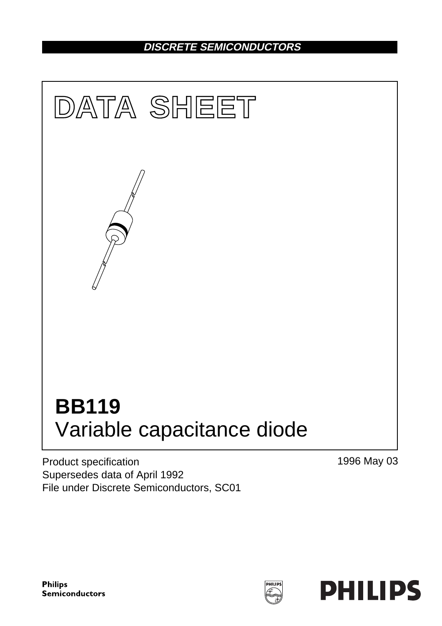# **DISCRETE SEMICONDUCTORS**



Product specification Supersedes data of April 1992 File under Discrete Semiconductors, SC01 1996 May 03

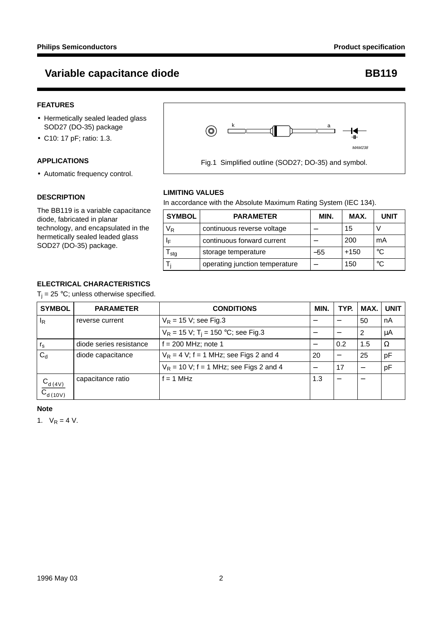# **Variable capacitance diode BB119**

### **FEATURES**

- Hermetically sealed leaded glass SOD27 (DO-35) package
- C10: 17 pF; ratio: 1.3.

#### **APPLICATIONS**

• Automatic frequency control.

#### **DESCRIPTION**

The BB119 is a variable capacitance diode, fabricated in planar technology, and encapsulated in the hermetically sealed leaded glass SOD27 (DO-35) package.



# **LIMITING VALUES**

In accordance with the Absolute Maximum Rating System (IEC 134).

| <b>SYMBOL</b>    | <b>PARAMETER</b>               | MIN. | MAX.   | <b>UNIT</b> |
|------------------|--------------------------------|------|--------|-------------|
| V <sub>R</sub>   | continuous reverse voltage     |      | 15     |             |
| ΙF               | continuous forward current     |      | 200    | mA          |
| <sup>I</sup> stq | storage temperature            | -55  | $+150$ | $^{\circ}C$ |
|                  | operating junction temperature |      | 150    | °C          |

#### **ELECTRICAL CHARACTERISTICS**

 $T_i = 25 \degree C$ ; unless otherwise specified.

| <b>SYMBOL</b>                  | <b>PARAMETER</b>        | <b>CONDITIONS</b>                                | MIN. | TYP. | MAX.                     | <b>UNIT</b> |
|--------------------------------|-------------------------|--------------------------------------------------|------|------|--------------------------|-------------|
| <sup>I</sup> R                 | reverse current         | $V_R$ = 15 V; see Fig.3                          |      |      | 50                       | nA          |
|                                |                         | $V_R$ = 15 V; T <sub>i</sub> = 150 °C; see Fig.3 |      |      | 2                        | μA          |
| $r_{\rm s}$                    | diode series resistance | $f = 200$ MHz; note 1                            |      | 0.2  | 1.5                      | Ω           |
| $C_{d}$                        | diode capacitance       | $V_R = 4$ V; f = 1 MHz; see Figs 2 and 4         | 20   |      | -25                      | рF          |
|                                |                         | $V_R$ = 10 V; f = 1 MHz; see Figs 2 and 4        |      | 17   | $\overline{\phantom{0}}$ | pF          |
| $\frac{C_{d(4V)}}{C_{d(10V)}}$ | capacitance ratio       | $f = 1$ MHz                                      | 1.3  |      |                          |             |

#### **Note**

1.  $V_R = 4 V$ .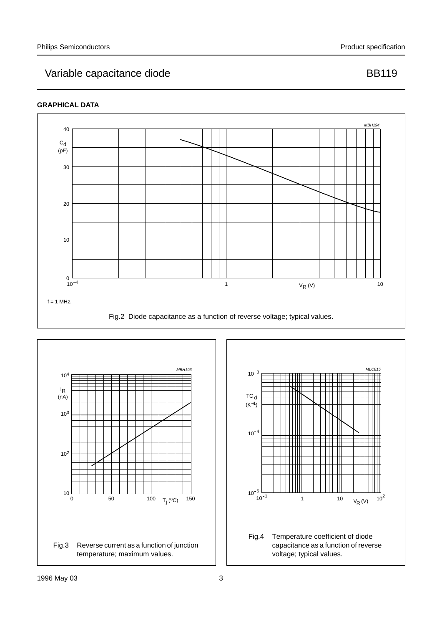## **GRAPHICAL DATA**